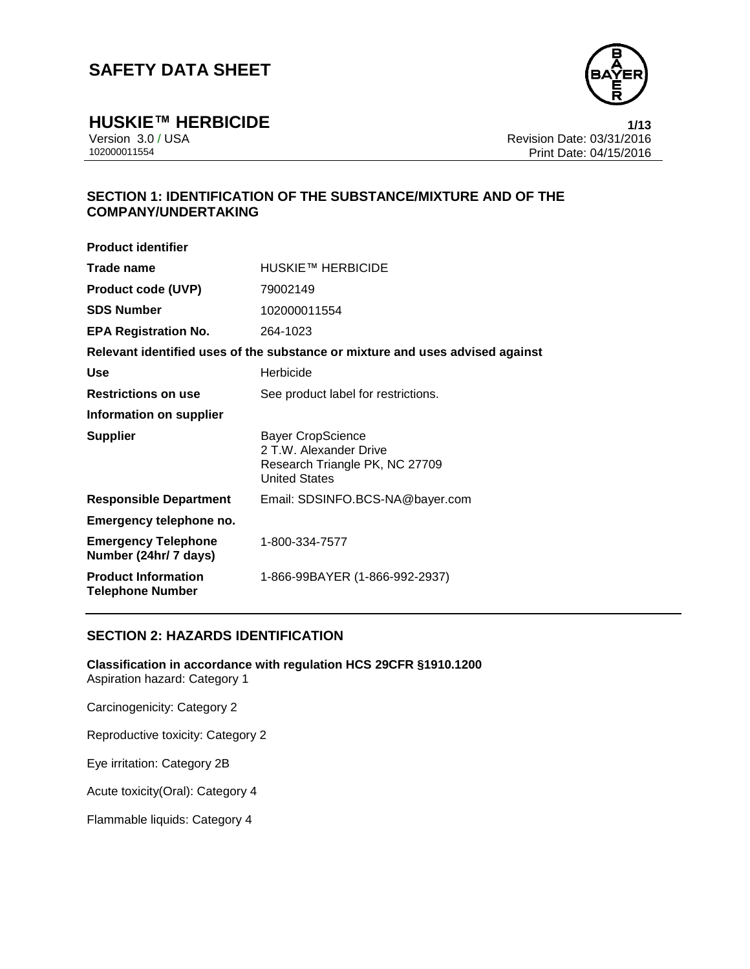

**HUSKIE™ HERBICIDE 1/13**

Version 3.0 / USA Revision Date: 03/31/2016 Print Date: 04/15/2016

## **SECTION 1: IDENTIFICATION OF THE SUBSTANCE/MIXTURE AND OF THE COMPANY/UNDERTAKING**

| <b>Product identifier</b>                             |                                                                                                              |
|-------------------------------------------------------|--------------------------------------------------------------------------------------------------------------|
| Trade name                                            | HUSKIE™ HERBICIDE                                                                                            |
| <b>Product code (UVP)</b>                             | 79002149                                                                                                     |
| <b>SDS Number</b>                                     | 102000011554                                                                                                 |
| <b>EPA Registration No.</b>                           | 264-1023                                                                                                     |
|                                                       | Relevant identified uses of the substance or mixture and uses advised against                                |
| Use                                                   | Herbicide                                                                                                    |
| <b>Restrictions on use</b>                            | See product label for restrictions.                                                                          |
| Information on supplier                               |                                                                                                              |
| <b>Supplier</b>                                       | <b>Bayer CropScience</b><br>2 T.W. Alexander Drive<br>Research Triangle PK, NC 27709<br><b>United States</b> |
| <b>Responsible Department</b>                         | Email: SDSINFO.BCS-NA@bayer.com                                                                              |
| Emergency telephone no.                               |                                                                                                              |
| <b>Emergency Telephone</b><br>Number (24hr/ 7 days)   | 1-800-334-7577                                                                                               |
| <b>Product Information</b><br><b>Telephone Number</b> | 1-866-99BAYER (1-866-992-2937)                                                                               |
|                                                       |                                                                                                              |

### **SECTION 2: HAZARDS IDENTIFICATION**

**Classification in accordance with regulation HCS 29CFR §1910.1200** Aspiration hazard: Category 1

Carcinogenicity: Category 2

Reproductive toxicity: Category 2

Eye irritation: Category 2B

Acute toxicity(Oral): Category 4

Flammable liquids: Category 4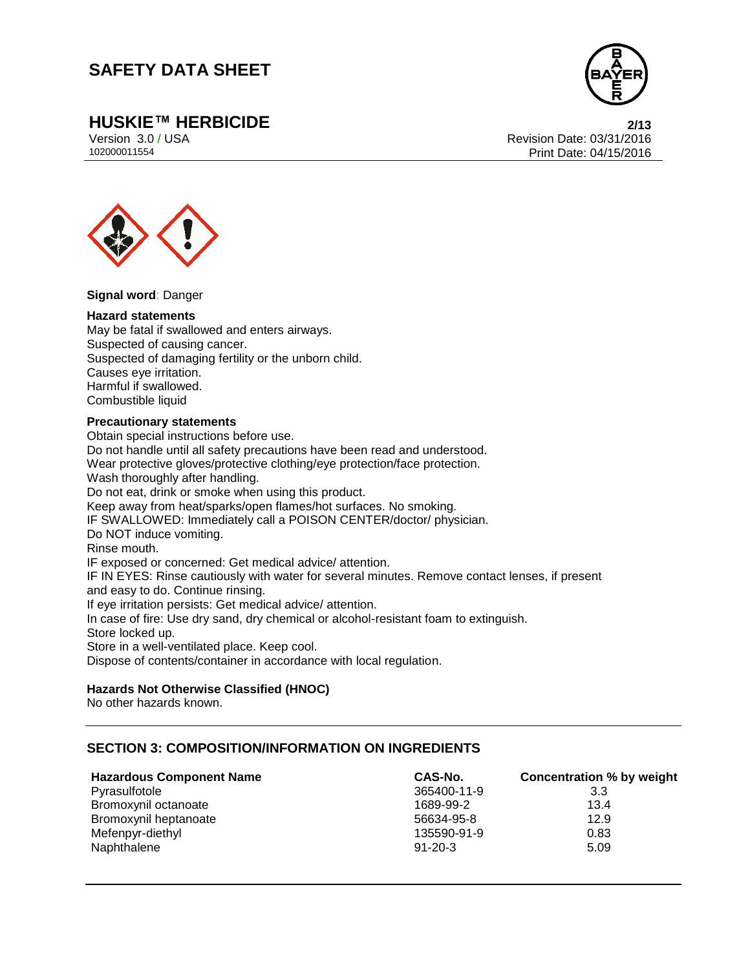

**HUSKIE™ HERBICIDE 2/13**

Version 3.0 / USA Revision Date: 03/31/2016<br>102000011554<br>Print Date: 04/15/2016 Print Date: 04/15/2016



**Signal word**: Danger

#### **Hazard statements**

May be fatal if swallowed and enters airways. Suspected of causing cancer. Suspected of damaging fertility or the unborn child. Causes eye irritation. Harmful if swallowed. Combustible liquid

#### **Precautionary statements**

Obtain special instructions before use. Do not handle until all safety precautions have been read and understood. Wear protective gloves/protective clothing/eye protection/face protection. Wash thoroughly after handling. Do not eat, drink or smoke when using this product. Keep away from heat/sparks/open flames/hot surfaces. No smoking. IF SWALLOWED: Immediately call a POISON CENTER/doctor/ physician. Do NOT induce vomiting. Rinse mouth. IF exposed or concerned: Get medical advice/ attention. IF IN EYES: Rinse cautiously with water for several minutes. Remove contact lenses, if present and easy to do. Continue rinsing. If eye irritation persists: Get medical advice/ attention. In case of fire: Use dry sand, dry chemical or alcohol-resistant foam to extinguish. Store locked up. Store in a well-ventilated place. Keep cool. Dispose of contents/container in accordance with local regulation.

### **Hazards Not Otherwise Classified (HNOC)**

No other hazards known.

### **SECTION 3: COMPOSITION/INFORMATION ON INGREDIENTS**

| <b>Hazardous Component Name</b> | CAS-No.       | <b>Concentration % by weight</b> |
|---------------------------------|---------------|----------------------------------|
| Pyrasulfotole                   | 365400-11-9   | 3.3                              |
| Bromoxynil octanoate            | 1689-99-2     | 13.4                             |
| Bromoxynil heptanoate           | 56634-95-8    | 12.9                             |
| Mefenpyr-diethyl                | 135590-91-9   | 0.83                             |
| Naphthalene                     | $91 - 20 - 3$ | 5.09                             |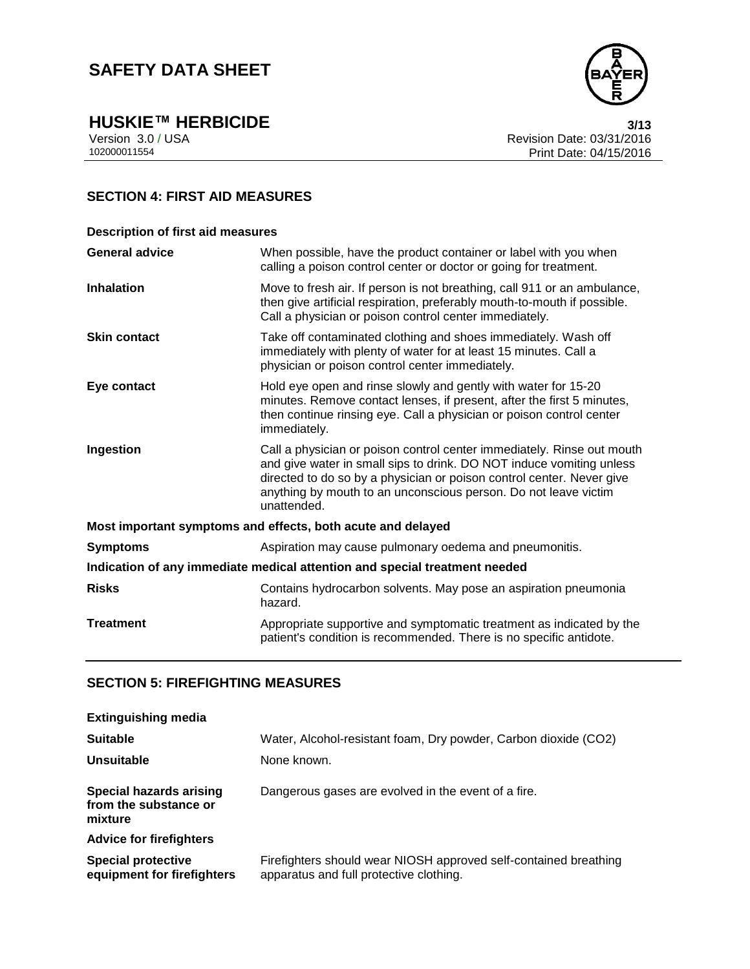

**HUSKIE™ HERBICIDE**<br>Version 3.0 / USA **1999 120 13/13**<br>Revision Date: 03/31/2016 Version 3.0 / USA Revision Date: 03/31/2016<br>102000011554<br>Print Date: 04/15/2016 Print Date: 04/15/2016

## **SECTION 4: FIRST AID MEASURES**

| <b>Description of first aid measures</b>                                   |                                                                                                                                                                                                                                                                                                           |  |  |
|----------------------------------------------------------------------------|-----------------------------------------------------------------------------------------------------------------------------------------------------------------------------------------------------------------------------------------------------------------------------------------------------------|--|--|
| <b>General advice</b>                                                      | When possible, have the product container or label with you when<br>calling a poison control center or doctor or going for treatment.                                                                                                                                                                     |  |  |
| <b>Inhalation</b>                                                          | Move to fresh air. If person is not breathing, call 911 or an ambulance,<br>then give artificial respiration, preferably mouth-to-mouth if possible.<br>Call a physician or poison control center immediately.                                                                                            |  |  |
| <b>Skin contact</b>                                                        | Take off contaminated clothing and shoes immediately. Wash off<br>immediately with plenty of water for at least 15 minutes. Call a<br>physician or poison control center immediately.                                                                                                                     |  |  |
| Eye contact                                                                | Hold eye open and rinse slowly and gently with water for 15-20<br>minutes. Remove contact lenses, if present, after the first 5 minutes,<br>then continue rinsing eye. Call a physician or poison control center<br>immediately.                                                                          |  |  |
| Ingestion                                                                  | Call a physician or poison control center immediately. Rinse out mouth<br>and give water in small sips to drink. DO NOT induce vomiting unless<br>directed to do so by a physician or poison control center. Never give<br>anything by mouth to an unconscious person. Do not leave victim<br>unattended. |  |  |
|                                                                            | Most important symptoms and effects, both acute and delayed                                                                                                                                                                                                                                               |  |  |
| <b>Symptoms</b>                                                            | Aspiration may cause pulmonary oedema and pneumonitis.                                                                                                                                                                                                                                                    |  |  |
| Indication of any immediate medical attention and special treatment needed |                                                                                                                                                                                                                                                                                                           |  |  |
| <b>Risks</b>                                                               | Contains hydrocarbon solvents. May pose an aspiration pneumonia<br>hazard.                                                                                                                                                                                                                                |  |  |
| <b>Treatment</b>                                                           | Appropriate supportive and symptomatic treatment as indicated by the<br>patient's condition is recommended. There is no specific antidote.                                                                                                                                                                |  |  |

## **SECTION 5: FIREFIGHTING MEASURES**

| <b>Extinguishing media</b>                                         |                                                                                                             |  |  |
|--------------------------------------------------------------------|-------------------------------------------------------------------------------------------------------------|--|--|
| <b>Suitable</b>                                                    | Water, Alcohol-resistant foam, Dry powder, Carbon dioxide (CO2)                                             |  |  |
| Unsuitable                                                         | None known.                                                                                                 |  |  |
| <b>Special hazards arising</b><br>from the substance or<br>mixture | Dangerous gases are evolved in the event of a fire.                                                         |  |  |
| <b>Advice for firefighters</b>                                     |                                                                                                             |  |  |
| <b>Special protective</b><br>equipment for firefighters            | Firefighters should wear NIOSH approved self-contained breathing<br>apparatus and full protective clothing. |  |  |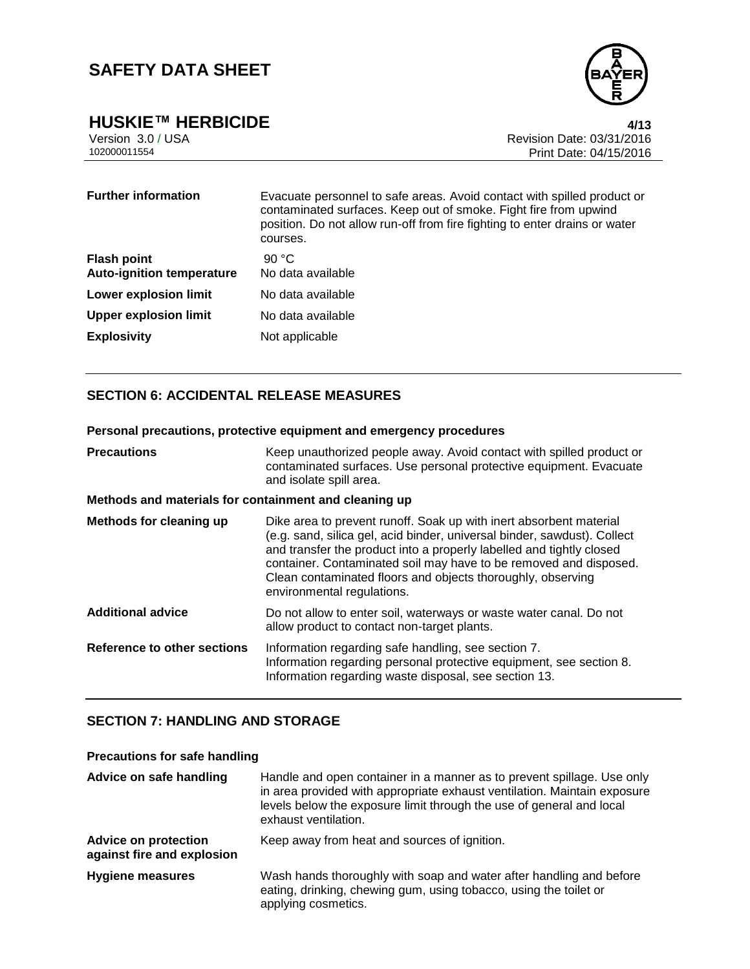

**HUSKIE™ HERBICIDE**<br>Version 3.0 / USA *4/13*<br>Revision Date: 03/31/2016 Version 3.0 / USA Revision Date: 03/31/2016<br>102000011554<br>Print Date: 04/15/2016 Print Date: 04/15/2016

| <b>Further information</b>                             | Evacuate personnel to safe areas. Avoid contact with spilled product or<br>contaminated surfaces. Keep out of smoke. Fight fire from upwind<br>position. Do not allow run-off from fire fighting to enter drains or water<br>courses. |
|--------------------------------------------------------|---------------------------------------------------------------------------------------------------------------------------------------------------------------------------------------------------------------------------------------|
| <b>Flash point</b><br><b>Auto-ignition temperature</b> | 90 °C.<br>No data available                                                                                                                                                                                                           |
| <b>Lower explosion limit</b>                           | No data available                                                                                                                                                                                                                     |
| <b>Upper explosion limit</b>                           | No data available                                                                                                                                                                                                                     |
| <b>Explosivity</b>                                     | Not applicable                                                                                                                                                                                                                        |

### **SECTION 6: ACCIDENTAL RELEASE MEASURES**

|                                                       | Personal precautions, protective equipment and emergency procedures                                                                                                                                                                                                                                                                                                                      |  |  |
|-------------------------------------------------------|------------------------------------------------------------------------------------------------------------------------------------------------------------------------------------------------------------------------------------------------------------------------------------------------------------------------------------------------------------------------------------------|--|--|
| <b>Precautions</b>                                    | Keep unauthorized people away. Avoid contact with spilled product or<br>contaminated surfaces. Use personal protective equipment. Evacuate<br>and isolate spill area.                                                                                                                                                                                                                    |  |  |
| Methods and materials for containment and cleaning up |                                                                                                                                                                                                                                                                                                                                                                                          |  |  |
| Methods for cleaning up                               | Dike area to prevent runoff. Soak up with inert absorbent material<br>(e.g. sand, silica gel, acid binder, universal binder, sawdust). Collect<br>and transfer the product into a properly labelled and tightly closed<br>container. Contaminated soil may have to be removed and disposed.<br>Clean contaminated floors and objects thoroughly, observing<br>environmental regulations. |  |  |
| <b>Additional advice</b>                              | Do not allow to enter soil, waterways or waste water canal. Do not<br>allow product to contact non-target plants.                                                                                                                                                                                                                                                                        |  |  |
| Reference to other sections                           | Information regarding safe handling, see section 7.<br>Information regarding personal protective equipment, see section 8.<br>Information regarding waste disposal, see section 13.                                                                                                                                                                                                      |  |  |

### **SECTION 7: HANDLING AND STORAGE**

| <b>Precautions for safe handling</b>                      |                                                                                                                                                                                                                                                    |  |  |  |
|-----------------------------------------------------------|----------------------------------------------------------------------------------------------------------------------------------------------------------------------------------------------------------------------------------------------------|--|--|--|
| Advice on safe handling                                   | Handle and open container in a manner as to prevent spillage. Use only<br>in area provided with appropriate exhaust ventilation. Maintain exposure<br>levels below the exposure limit through the use of general and local<br>exhaust ventilation. |  |  |  |
| <b>Advice on protection</b><br>against fire and explosion | Keep away from heat and sources of ignition.                                                                                                                                                                                                       |  |  |  |
| Hygiene measures                                          | Wash hands thoroughly with soap and water after handling and before<br>eating, drinking, chewing gum, using tobacco, using the toilet or<br>applying cosmetics.                                                                                    |  |  |  |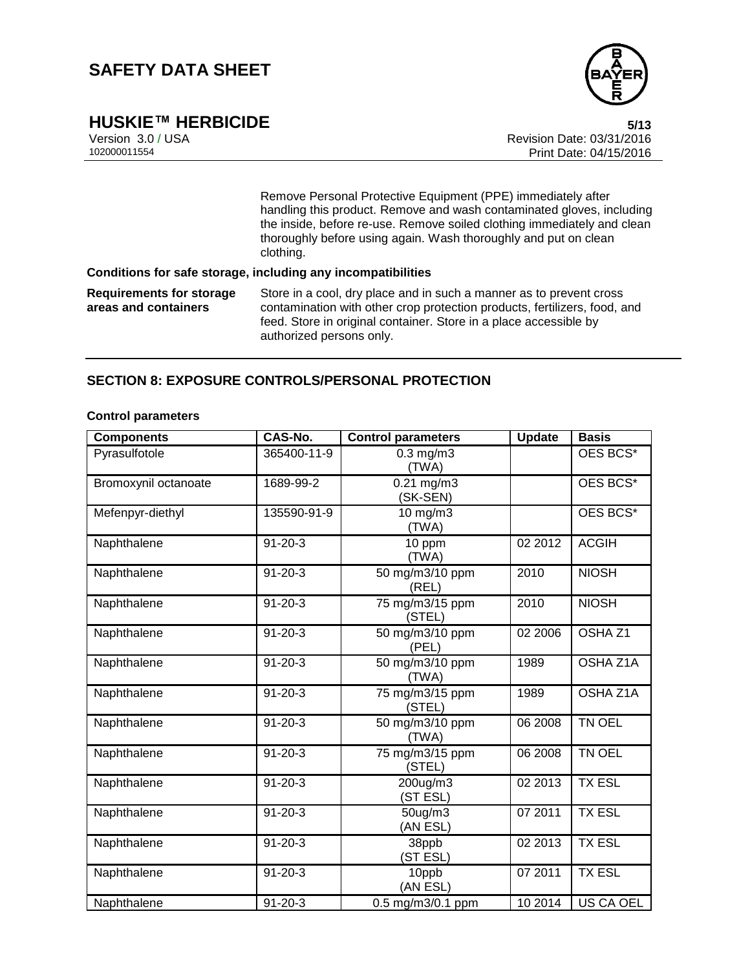

# **HUSKIE™ HERBICIDE 5/13**

Version 3.0 / USA Revision Date: 03/31/2016 Print Date: 04/15/2016

> Remove Personal Protective Equipment (PPE) immediately after handling this product. Remove and wash contaminated gloves, including the inside, before re-use. Remove soiled clothing immediately and clean thoroughly before using again. Wash thoroughly and put on clean clothing.

#### **Conditions for safe storage, including any incompatibilities**

**Requirements for storage areas and containers** Store in a cool, dry place and in such a manner as to prevent cross contamination with other crop protection products, fertilizers, food, and feed. Store in original container. Store in a place accessible by authorized persons only.

### **SECTION 8: EXPOSURE CONTROLS/PERSONAL PROTECTION**

#### **Control parameters**

| <b>Components</b>    | CAS-No.       | <b>Control parameters</b>           | <b>Update</b> | <b>Basis</b>       |
|----------------------|---------------|-------------------------------------|---------------|--------------------|
| Pyrasulfotole        | 365400-11-9   | $0.3$ mg/m $3$<br>(TWA)             |               | OES BCS*           |
| Bromoxynil octanoate | 1689-99-2     | $\overline{0.2}1$ mg/m3<br>(SK-SEN) |               | OES BCS*           |
| Mefenpyr-diethyl     | 135590-91-9   | $10$ mg/m $3$<br>(TWA)              |               | OES BCS*           |
| Naphthalene          | $91 - 20 - 3$ | 10 ppm<br>(TWA)                     | 02 2012       | <b>ACGIH</b>       |
| Naphthalene          | $91 - 20 - 3$ | 50 mg/m3/10 ppm<br>(REL)            | 2010          | <b>NIOSH</b>       |
| Naphthalene          | $91 - 20 - 3$ | 75 mg/m3/15 ppm<br>(STEL)           | 2010          | <b>NIOSH</b>       |
| Naphthalene          | $91 - 20 - 3$ | 50 mg/m3/10 ppm<br>(PEL)            | 02 2006       | OSHA <sub>Z1</sub> |
| Naphthalene          | $91 - 20 - 3$ | 50 mg/m3/10 ppm<br>(TWA)            | 1989          | OSHA Z1A           |
| Naphthalene          | $91 - 20 - 3$ | 75 mg/m3/15 ppm<br>(STEL)           | 1989          | OSHA Z1A           |
| Naphthalene          | $91 - 20 - 3$ | 50 mg/m3/10 ppm<br>(TWA)            | 06 2008       | TN OEL             |
| Naphthalene          | $91 - 20 - 3$ | 75 mg/m3/15 ppm<br>(STEL)           | 06 2008       | TN OEL             |
| Naphthalene          | $91 - 20 - 3$ | 200ug/m3<br>(ST ESL)                | 02 2013       | <b>TX ESL</b>      |
| Naphthalene          | $91 - 20 - 3$ | 50ug/m3<br>(AN ESL)                 | 07 2011       | <b>TX ESL</b>      |
| Naphthalene          | $91 - 20 - 3$ | 38ppb<br>(ST ESL)                   | 02 2013       | <b>TX ESL</b>      |
| Naphthalene          | $91 - 20 - 3$ | 10ppb<br>(AN ESL)                   | 07 2011       | <b>TX ESL</b>      |
| Naphthalene          | $91 - 20 - 3$ | 0.5 mg/m3/0.1 ppm                   | 10 2014       | US CA OEL          |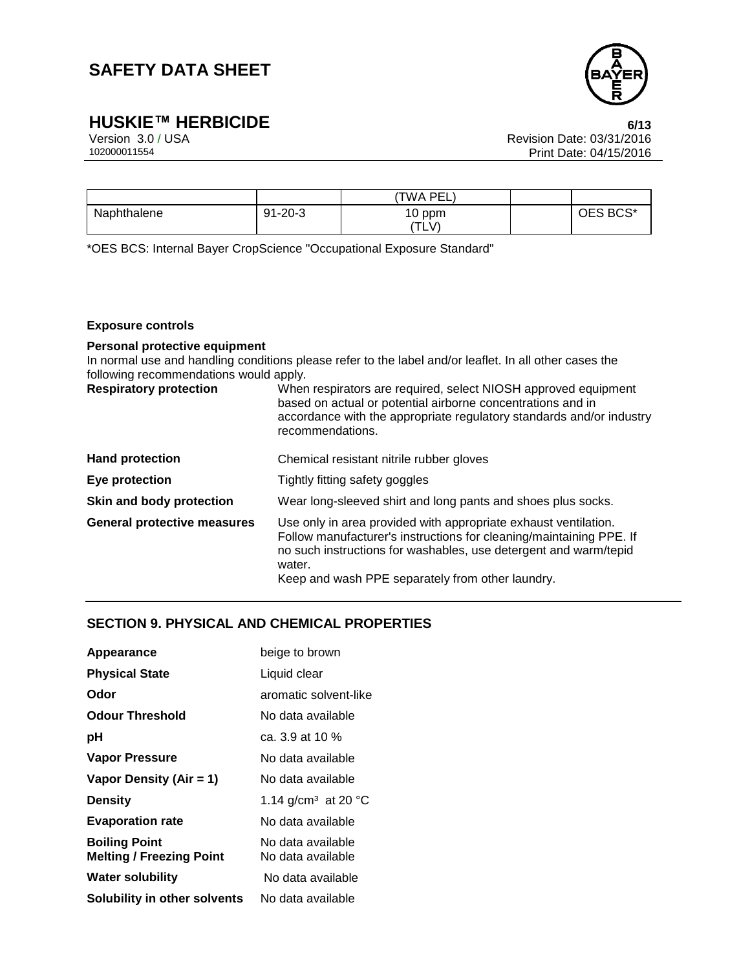

**HUSKIE™ HERBICIDE 6/13**

Version 3.0 / USA Revision Date: 03/31/2016 Print Date: 04/15/2016

|             |               | 'TWA PEL. |          |
|-------------|---------------|-----------|----------|
| Naphthalene | $91 - 20 - 3$ | 10 ppm    | OES BCS* |
|             |               | TLV)      |          |

\*OES BCS: Internal Bayer CropScience "Occupational Exposure Standard"

#### **Exposure controls**

### **Personal protective equipment**

In normal use and handling conditions please refer to the label and/or leaflet. In all other cases the following recommendations would apply.

| <b>Respiratory protection</b>      | When respirators are required, select NIOSH approved equipment<br>based on actual or potential airborne concentrations and in<br>accordance with the appropriate regulatory standards and/or industry<br>recommendations.                                                |  |
|------------------------------------|--------------------------------------------------------------------------------------------------------------------------------------------------------------------------------------------------------------------------------------------------------------------------|--|
| <b>Hand protection</b>             | Chemical resistant nitrile rubber gloves                                                                                                                                                                                                                                 |  |
| Eye protection                     | Tightly fitting safety goggles                                                                                                                                                                                                                                           |  |
| Skin and body protection           | Wear long-sleeved shirt and long pants and shoes plus socks.                                                                                                                                                                                                             |  |
| <b>General protective measures</b> | Use only in area provided with appropriate exhaust ventilation.<br>Follow manufacturer's instructions for cleaning/maintaining PPE. If<br>no such instructions for washables, use detergent and warm/tepid<br>water.<br>Keep and wash PPE separately from other laundry. |  |

### **SECTION 9. PHYSICAL AND CHEMICAL PROPERTIES**

| Appearance                                              | beige to brown                         |
|---------------------------------------------------------|----------------------------------------|
| <b>Physical State</b>                                   | Liquid clear                           |
| Odor                                                    | aromatic solvent-like                  |
| <b>Odour Threshold</b>                                  | No data available                      |
| рH                                                      | ca. 3.9 at 10 $%$                      |
| <b>Vapor Pressure</b>                                   | No data available                      |
| Vapor Density (Air = 1)                                 | No data available                      |
| <b>Density</b>                                          | 1.14 g/cm <sup>3</sup> at 20 °C        |
| <b>Evaporation rate</b>                                 | No data available                      |
| <b>Boiling Point</b><br><b>Melting / Freezing Point</b> | No data available<br>No data available |
| <b>Water solubility</b>                                 | No data available                      |
| Solubility in other solvents                            | No data available                      |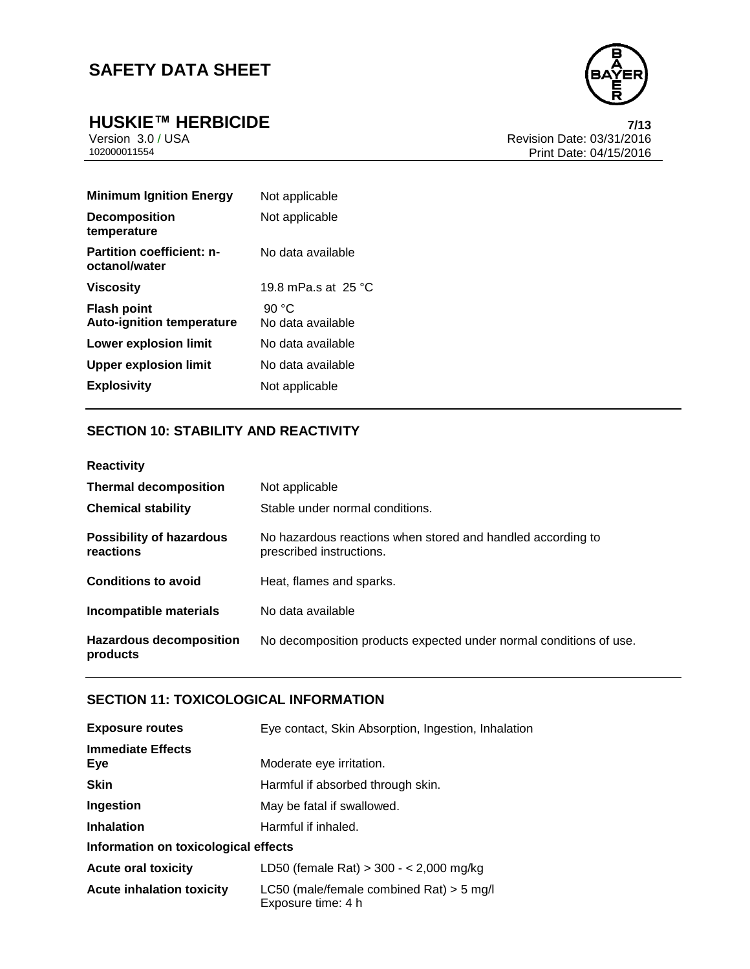**HUSKIE™ HERBICIDE**<br>Version 3.0 / USA *T***/13<br>Revision Date: 03/31/2016** Version 3.0 / USA Revision Date: 03/31/2016<br>102000011554<br>Print Date: 04/15/2016 Print Date: 04/15/2016

| <b>Minimum Ignition Energy</b>                         | Not applicable                |
|--------------------------------------------------------|-------------------------------|
| <b>Decomposition</b><br>temperature                    | Not applicable                |
| <b>Partition coefficient: n-</b><br>octanol/water      | No data available             |
| Viscosity                                              | 19.8 mPa.s at $25 \text{ °C}$ |
| <b>Flash point</b><br><b>Auto-ignition temperature</b> | 90 °C<br>No data available    |
| <b>Lower explosion limit</b>                           | No data available             |
| <b>Upper explosion limit</b>                           | No data available             |
| <b>Explosivity</b>                                     | Not applicable                |

### **SECTION 10: STABILITY AND REACTIVITY**

| <b>Thermal decomposition</b><br><b>Chemical stability</b> | Not applicable<br>Stable under normal conditions.                                       |
|-----------------------------------------------------------|-----------------------------------------------------------------------------------------|
| <b>Possibility of hazardous</b><br>reactions              | No hazardous reactions when stored and handled according to<br>prescribed instructions. |
| <b>Conditions to avoid</b>                                | Heat, flames and sparks.                                                                |
| Incompatible materials                                    | No data available                                                                       |
| <b>Hazardous decomposition</b><br>products                | No decomposition products expected under normal conditions of use.                      |

### **SECTION 11: TOXICOLOGICAL INFORMATION**

| <b>Exposure routes</b>               | Eye contact, Skin Absorption, Ingestion, Inhalation              |  |  |
|--------------------------------------|------------------------------------------------------------------|--|--|
| <b>Immediate Effects</b><br>Eye      | Moderate eye irritation.                                         |  |  |
| <b>Skin</b>                          | Harmful if absorbed through skin.                                |  |  |
| Ingestion                            | May be fatal if swallowed.                                       |  |  |
| <b>Inhalation</b>                    | Harmful if inhaled.                                              |  |  |
| Information on toxicological effects |                                                                  |  |  |
| <b>Acute oral toxicity</b>           | LD50 (female Rat) $>$ 300 - < 2,000 mg/kg                        |  |  |
| <b>Acute inhalation toxicity</b>     | LC50 (male/female combined Rat) $>$ 5 mg/l<br>Exposure time: 4 h |  |  |

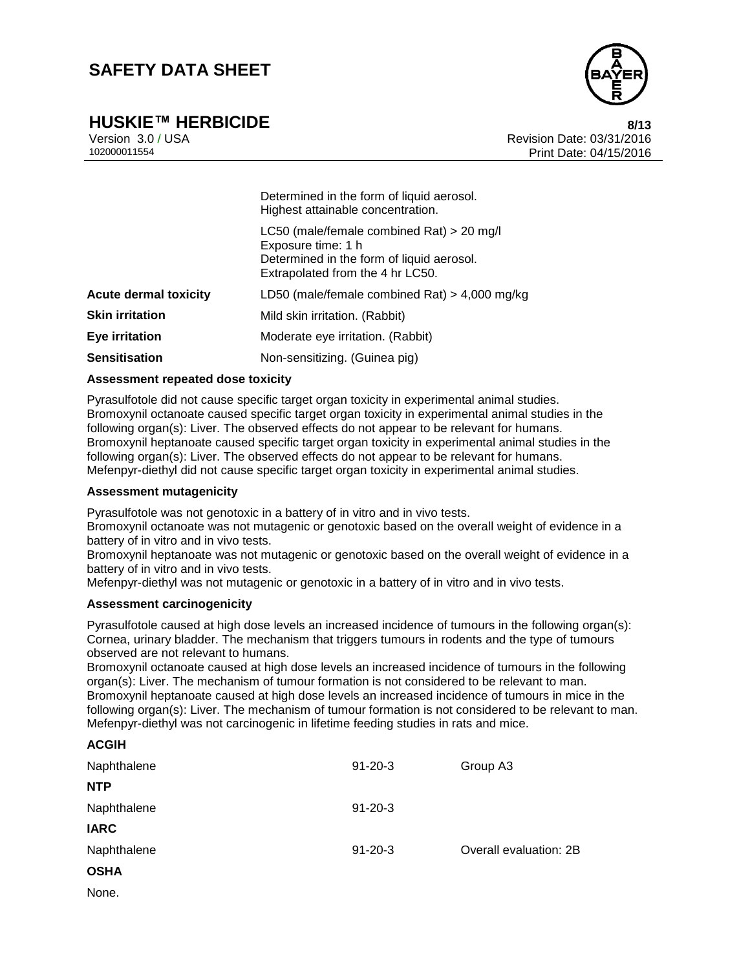# **HUSKIE™ HERBICIDE 8/13**



Version 3.0 / USA Revision Date: 03/31/2016 102000011554 Print Date: 04/15/2016

|                              | Highest attainable concentration.                                                                                                                |
|------------------------------|--------------------------------------------------------------------------------------------------------------------------------------------------|
|                              | LC50 (male/female combined Rat) > 20 mg/l<br>Exposure time: 1 h<br>Determined in the form of liquid aerosol.<br>Extrapolated from the 4 hr LC50. |
| <b>Acute dermal toxicity</b> | LD50 (male/female combined Rat) $>$ 4,000 mg/kg                                                                                                  |
| <b>Skin irritation</b>       | Mild skin irritation. (Rabbit)                                                                                                                   |
| <b>Eye irritation</b>        | Moderate eye irritation. (Rabbit)                                                                                                                |
| <b>Sensitisation</b>         | Non-sensitizing. (Guinea pig)                                                                                                                    |

#### **Assessment repeated dose toxicity**

Pyrasulfotole did not cause specific target organ toxicity in experimental animal studies. Bromoxynil octanoate caused specific target organ toxicity in experimental animal studies in the following organ(s): Liver. The observed effects do not appear to be relevant for humans. Bromoxynil heptanoate caused specific target organ toxicity in experimental animal studies in the following organ(s): Liver. The observed effects do not appear to be relevant for humans. Mefenpyr-diethyl did not cause specific target organ toxicity in experimental animal studies.

Determined in the form of liquid aerosol.

#### **Assessment mutagenicity**

Pyrasulfotole was not genotoxic in a battery of in vitro and in vivo tests.

Bromoxynil octanoate was not mutagenic or genotoxic based on the overall weight of evidence in a battery of in vitro and in vivo tests.

Bromoxynil heptanoate was not mutagenic or genotoxic based on the overall weight of evidence in a battery of in vitro and in vivo tests.

Mefenpyr-diethyl was not mutagenic or genotoxic in a battery of in vitro and in vivo tests.

#### **Assessment carcinogenicity**

Pyrasulfotole caused at high dose levels an increased incidence of tumours in the following organ(s): Cornea, urinary bladder. The mechanism that triggers tumours in rodents and the type of tumours observed are not relevant to humans.

Bromoxynil octanoate caused at high dose levels an increased incidence of tumours in the following organ(s): Liver. The mechanism of tumour formation is not considered to be relevant to man. Bromoxynil heptanoate caused at high dose levels an increased incidence of tumours in mice in the following organ(s): Liver. The mechanism of tumour formation is not considered to be relevant to man. Mefenpyr-diethyl was not carcinogenic in lifetime feeding studies in rats and mice.

| А∪ып        |               |                        |
|-------------|---------------|------------------------|
| Naphthalene | $91 - 20 - 3$ | Group A3               |
| <b>NTP</b>  |               |                        |
| Naphthalene | $91 - 20 - 3$ |                        |
| <b>IARC</b> |               |                        |
| Naphthalene | $91 - 20 - 3$ | Overall evaluation: 2B |
| <b>OSHA</b> |               |                        |
|             |               |                        |

None.

**ACGIH**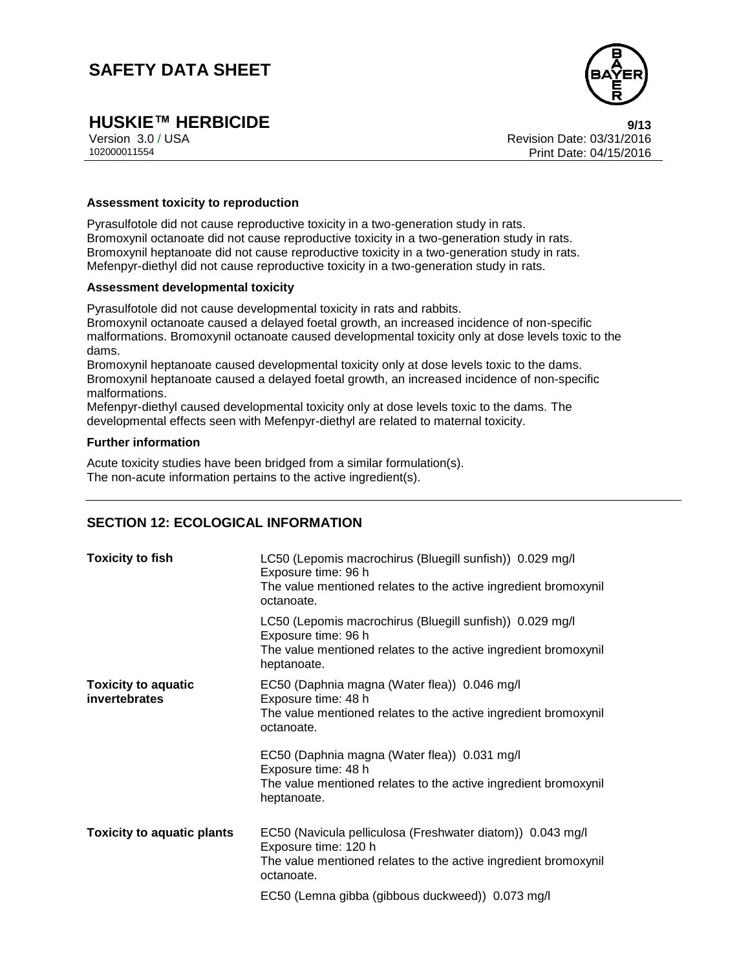

# **HUSKIE™ HERBICIDE 9/13**

Version 3.0 / USA Revision Date: 03/31/2016 Print Date: 04/15/2016

#### **Assessment toxicity to reproduction**

Pyrasulfotole did not cause reproductive toxicity in a two-generation study in rats. Bromoxynil octanoate did not cause reproductive toxicity in a two-generation study in rats. Bromoxynil heptanoate did not cause reproductive toxicity in a two-generation study in rats. Mefenpyr-diethyl did not cause reproductive toxicity in a two-generation study in rats.

#### **Assessment developmental toxicity**

Pyrasulfotole did not cause developmental toxicity in rats and rabbits.

Bromoxynil octanoate caused a delayed foetal growth, an increased incidence of non-specific malformations. Bromoxynil octanoate caused developmental toxicity only at dose levels toxic to the dams.

Bromoxynil heptanoate caused developmental toxicity only at dose levels toxic to the dams. Bromoxynil heptanoate caused a delayed foetal growth, an increased incidence of non-specific malformations.

Mefenpyr-diethyl caused developmental toxicity only at dose levels toxic to the dams. The developmental effects seen with Mefenpyr-diethyl are related to maternal toxicity.

#### **Further information**

Acute toxicity studies have been bridged from a similar formulation(s). The non-acute information pertains to the active ingredient(s).

### **SECTION 12: ECOLOGICAL INFORMATION**

| <b>Toxicity to fish</b>                     | LC50 (Lepomis macrochirus (Bluegill sunfish)) 0.029 mg/l<br>Exposure time: 96 h<br>The value mentioned relates to the active ingredient bromoxynil<br>octanoate.                                                        |
|---------------------------------------------|-------------------------------------------------------------------------------------------------------------------------------------------------------------------------------------------------------------------------|
|                                             | LC50 (Lepomis macrochirus (Bluegill sunfish)) 0.029 mg/l<br>Exposure time: 96 h<br>The value mentioned relates to the active ingredient bromoxynil<br>heptanoate.                                                       |
| <b>Toxicity to aquatic</b><br>invertebrates | EC50 (Daphnia magna (Water flea)) 0.046 mg/l<br>Exposure time: 48 h<br>The value mentioned relates to the active ingredient bromoxynil<br>octanoate.                                                                    |
|                                             | EC50 (Daphnia magna (Water flea)) 0.031 mg/l<br>Exposure time: 48 h<br>The value mentioned relates to the active ingredient bromoxynil<br>heptanoate.                                                                   |
| <b>Toxicity to aquatic plants</b>           | EC50 (Navicula pelliculosa (Freshwater diatom)) 0.043 mg/l<br>Exposure time: 120 h<br>The value mentioned relates to the active ingredient bromoxynil<br>octanoate.<br>EC50 (Lemna gibba (gibbous duckweed)) 0.073 mg/l |
|                                             |                                                                                                                                                                                                                         |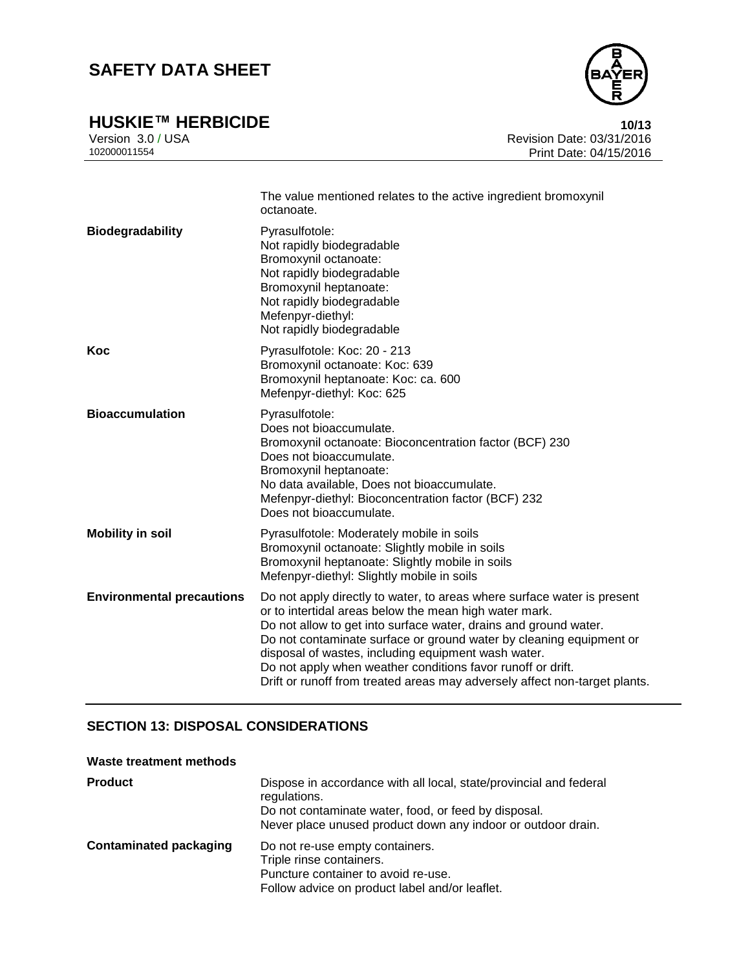

**HUSKIE™ HERBICIDE**<br>Version 3.0 / USA **10/13**<br>Revision Date: 03/31/2016 Version 3.0 / USA Revision Date: 03/31/2016<br>102000011554<br>Print Date: 04/15/2016 Print Date: 04/15/2016

|                                  | The value mentioned relates to the active ingredient bromoxynil<br>octanoate.                                                                                                                                                                                                                                                                                                                                                                                                    |
|----------------------------------|----------------------------------------------------------------------------------------------------------------------------------------------------------------------------------------------------------------------------------------------------------------------------------------------------------------------------------------------------------------------------------------------------------------------------------------------------------------------------------|
| <b>Biodegradability</b>          | Pyrasulfotole:<br>Not rapidly biodegradable<br>Bromoxynil octanoate:<br>Not rapidly biodegradable<br>Bromoxynil heptanoate:<br>Not rapidly biodegradable<br>Mefenpyr-diethyl:<br>Not rapidly biodegradable                                                                                                                                                                                                                                                                       |
| Koc                              | Pyrasulfotole: Koc: 20 - 213<br>Bromoxynil octanoate: Koc: 639<br>Bromoxynil heptanoate: Koc: ca. 600<br>Mefenpyr-diethyl: Koc: 625                                                                                                                                                                                                                                                                                                                                              |
| <b>Bioaccumulation</b>           | Pyrasulfotole:<br>Does not bioaccumulate.<br>Bromoxynil octanoate: Bioconcentration factor (BCF) 230<br>Does not bioaccumulate.<br>Bromoxynil heptanoate:<br>No data available, Does not bioaccumulate.<br>Mefenpyr-diethyl: Bioconcentration factor (BCF) 232<br>Does not bioaccumulate.                                                                                                                                                                                        |
| <b>Mobility in soil</b>          | Pyrasulfotole: Moderately mobile in soils<br>Bromoxynil octanoate: Slightly mobile in soils<br>Bromoxynil heptanoate: Slightly mobile in soils<br>Mefenpyr-diethyl: Slightly mobile in soils                                                                                                                                                                                                                                                                                     |
| <b>Environmental precautions</b> | Do not apply directly to water, to areas where surface water is present<br>or to intertidal areas below the mean high water mark.<br>Do not allow to get into surface water, drains and ground water.<br>Do not contaminate surface or ground water by cleaning equipment or<br>disposal of wastes, including equipment wash water.<br>Do not apply when weather conditions favor runoff or drift.<br>Drift or runoff from treated areas may adversely affect non-target plants. |

### **SECTION 13: DISPOSAL CONSIDERATIONS**

### **Waste treatment methods**

| <b>Product</b>                | Dispose in accordance with all local, state/provincial and federal<br>regulations.<br>Do not contaminate water, food, or feed by disposal.<br>Never place unused product down any indoor or outdoor drain. |
|-------------------------------|------------------------------------------------------------------------------------------------------------------------------------------------------------------------------------------------------------|
| <b>Contaminated packaging</b> | Do not re-use empty containers.<br>Triple rinse containers.<br>Puncture container to avoid re-use.<br>Follow advice on product label and/or leaflet.                                                       |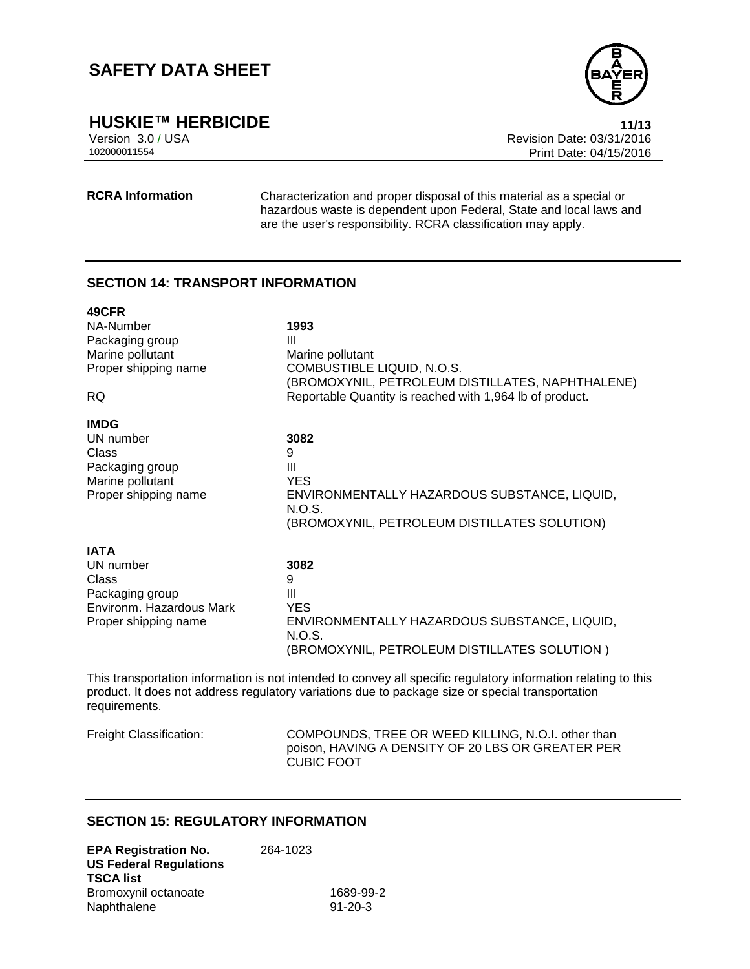

**HUSKIE™ HERBICIDE 11/13**

Version 3.0 / USA Revision Date: 03/31/2016 Print Date: 04/15/2016

**RCRA Information** Characterization and proper disposal of this material as a special or hazardous waste is dependent upon Federal, State and local laws and are the user's responsibility. RCRA classification may apply.

### **SECTION 14: TRANSPORT INFORMATION**

| 49CFR                    |                                                                                |
|--------------------------|--------------------------------------------------------------------------------|
| NA-Number                | 1993                                                                           |
| Packaging group          | Ш                                                                              |
| Marine pollutant         | Marine pollutant                                                               |
| Proper shipping name     | COMBUSTIBLE LIQUID, N.O.S.<br>(BROMOXYNIL, PETROLEUM DISTILLATES, NAPHTHALENE) |
| <b>RQ</b>                | Reportable Quantity is reached with 1,964 lb of product.                       |
| <b>IMDG</b>              |                                                                                |
| UN number                | 3082                                                                           |
| Class                    | 9                                                                              |
| Packaging group          | Ш                                                                              |
| Marine pollutant         | <b>YES</b>                                                                     |
| Proper shipping name     | ENVIRONMENTALLY HAZARDOUS SUBSTANCE, LIQUID,<br>N.O.S.                         |
|                          | (BROMOXYNIL, PETROLEUM DISTILLATES SOLUTION)                                   |
| <b>IATA</b>              |                                                                                |
| UN number                | 3082                                                                           |
| Class                    | 9                                                                              |
| Packaging group          | Ш                                                                              |
| Environm. Hazardous Mark | <b>YES</b>                                                                     |
| Proper shipping name     | ENVIRONMENTALLY HAZARDOUS SUBSTANCE, LIQUID,<br>N.O.S.                         |
|                          | (BROMOXYNIL, PETROLEUM DISTILLATES SOLUTION)                                   |
|                          |                                                                                |

This transportation information is not intended to convey all specific regulatory information relating to this product. It does not address regulatory variations due to package size or special transportation requirements.

Freight Classification: COMPOUNDS, TREE OR WEED KILLING, N.O.I. other than poison, HAVING A DENSITY OF 20 LBS OR GREATER PER CUBIC FOOT

### **SECTION 15: REGULATORY INFORMATION**

| <b>EPA Registration No.</b>   | 264-1023 |               |
|-------------------------------|----------|---------------|
| <b>US Federal Regulations</b> |          |               |
| <b>TSCA list</b>              |          |               |
| Bromoxynil octanoate          |          | 1689-99-2     |
| Naphthalene                   |          | $91 - 20 - 3$ |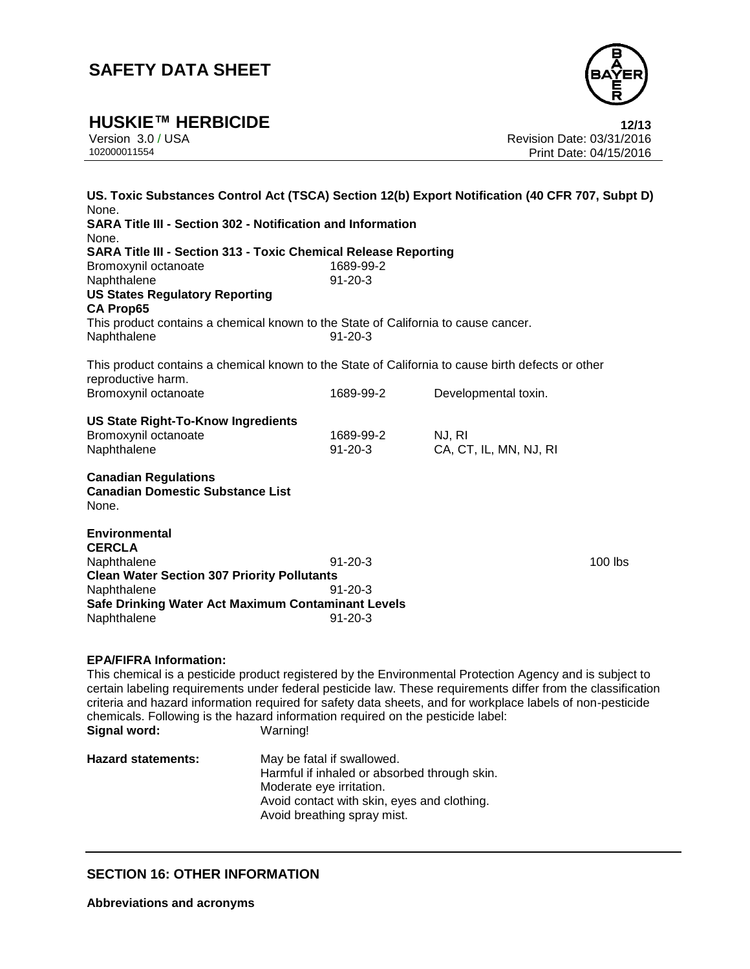

**HUSKIE™ HERBICIDE**<br>Version 3.0 / USA **12/13**<br>Revision Date: 03/31/2016 Version 3.0 / USA Revision Date: 03/31/2016 Print Date: 04/15/2016

| US. Toxic Substances Control Act (TSCA) Section 12(b) Export Notification (40 CFR 707, Subpt D)<br>None.<br><b>SARA Title III - Section 302 - Notification and Information</b><br>None.                                                                                                                                                                                                                                                                                                |                            |                                  |         |
|----------------------------------------------------------------------------------------------------------------------------------------------------------------------------------------------------------------------------------------------------------------------------------------------------------------------------------------------------------------------------------------------------------------------------------------------------------------------------------------|----------------------------|----------------------------------|---------|
| <b>SARA Title III - Section 313 - Toxic Chemical Release Reporting</b><br>Bromoxynil octanoate<br>Naphthalene<br><b>US States Regulatory Reporting</b>                                                                                                                                                                                                                                                                                                                                 | 1689-99-2<br>$91 - 20 - 3$ |                                  |         |
| <b>CA Prop65</b><br>This product contains a chemical known to the State of California to cause cancer.<br>Naphthalene                                                                                                                                                                                                                                                                                                                                                                  | $91 - 20 - 3$              |                                  |         |
| This product contains a chemical known to the State of California to cause birth defects or other<br>reproductive harm.                                                                                                                                                                                                                                                                                                                                                                |                            |                                  |         |
| Bromoxynil octanoate                                                                                                                                                                                                                                                                                                                                                                                                                                                                   | 1689-99-2                  | Developmental toxin.             |         |
| <b>US State Right-To-Know Ingredients</b><br>Bromoxynil octanoate<br>Naphthalene                                                                                                                                                                                                                                                                                                                                                                                                       | 1689-99-2<br>$91 - 20 - 3$ | NJ, RI<br>CA, CT, IL, MN, NJ, RI |         |
| <b>Canadian Regulations</b><br><b>Canadian Domestic Substance List</b><br>None.                                                                                                                                                                                                                                                                                                                                                                                                        |                            |                                  |         |
| <b>Environmental</b><br><b>CERCLA</b>                                                                                                                                                                                                                                                                                                                                                                                                                                                  |                            |                                  |         |
| Naphthalene<br><b>Clean Water Section 307 Priority Pollutants</b>                                                                                                                                                                                                                                                                                                                                                                                                                      | $91 - 20 - 3$              |                                  | 100 lbs |
| Naphthalene<br>Safe Drinking Water Act Maximum Contaminant Levels                                                                                                                                                                                                                                                                                                                                                                                                                      | $91 - 20 - 3$              |                                  |         |
| Naphthalene                                                                                                                                                                                                                                                                                                                                                                                                                                                                            | $91 - 20 - 3$              |                                  |         |
| <b>EPA/FIFRA Information:</b><br>This chemical is a pesticide product registered by the Environmental Protection Agency and is subject to<br>certain labeling requirements under federal pesticide law. These requirements differ from the classification<br>criteria and hazard information required for safety data sheets, and for workplace labels of non-pesticide<br>chemicals. Following is the hazard information required on the pesticide label:<br>Signal word:<br>Warning! |                            |                                  |         |

**Hazard statements:** May be fatal if swallowed. Harmful if inhaled or absorbed through skin. Moderate eye irritation. Avoid contact with skin, eyes and clothing. Avoid breathing spray mist.

### **SECTION 16: OTHER INFORMATION**